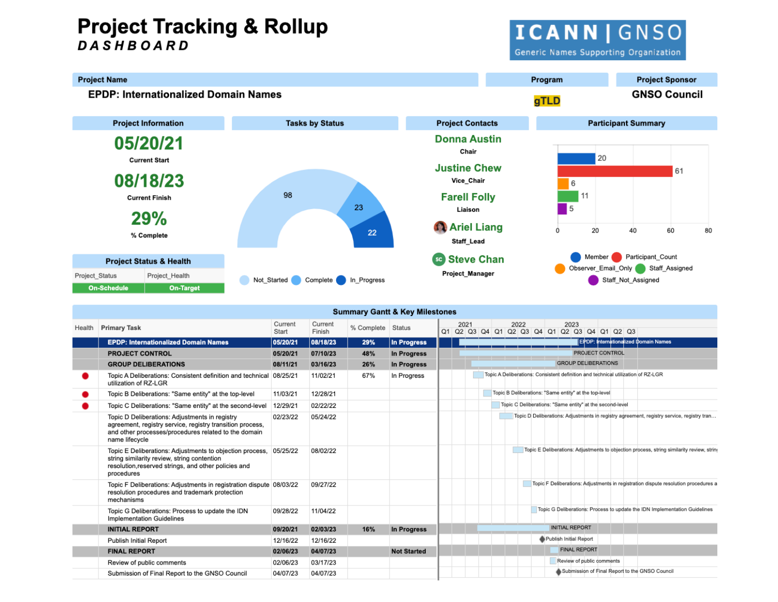## **Project Tracking & Rollup DASHBOARD**

**ICANN | GNSO** Generic Names Supporting Organization

**Project Name** Program **Project Sponsor EPDP: Internationalized Domain Names GNSO Council** gTLD **Project Information Tasks by Status Project Contacts Participant Summary Donna Austin** 05/20/21 Chair 20 **Current Start Justine Chew** 61 08/18/23 Vice\_Chair  $6\overline{6}$ 98 **Farell Folly**  $11$ **Current Finish** 23 5 Liaison 29% **A** Ariel Liang  $\Omega$ 20 40 60 80 22 % Complete Staff\_Lead Member Participant\_Count **Steve Chan Project Status & Health** Observer\_Email\_Only Staff\_Assigned Project\_Manager Project\_Status Project\_Health Not Started Complete In Progress Staff Not Assigned On-Schedule On-Target

|        |                                                                                                                                                                                        |                  |                   |                   | <b>Summary Gantt &amp; Key Milestones</b> |  |      |  |      |  |  |      |                                                       |                                                          |  |                                                                                  |  |                                                                                           |
|--------|----------------------------------------------------------------------------------------------------------------------------------------------------------------------------------------|------------------|-------------------|-------------------|-------------------------------------------|--|------|--|------|--|--|------|-------------------------------------------------------|----------------------------------------------------------|--|----------------------------------------------------------------------------------|--|-------------------------------------------------------------------------------------------|
| Health | <b>Primary Task</b>                                                                                                                                                                    | Current<br>Start | Current<br>Finish | % Complete Status |                                           |  | 2021 |  | 2022 |  |  | 2023 |                                                       | Q1 Q2 Q3 Q4 Q1 Q2 Q3 Q4 Q1 Q2 Q3 Q4 Q1 Q2 Q3             |  |                                                                                  |  |                                                                                           |
|        | <b>EPDP: Internationalized Domain Names</b>                                                                                                                                            | 05/20/21         | 08/18/23          | 29%               | In Progress                               |  |      |  |      |  |  |      |                                                       |                                                          |  | [EPDP: Internationalized Domain Names                                            |  |                                                                                           |
|        | <b>PROJECT CONTROL</b>                                                                                                                                                                 | 05/20/21         | 07/10/23          | 48%               | <b>In Progress</b>                        |  |      |  |      |  |  |      |                                                       | PROJECT CONTROL                                          |  |                                                                                  |  |                                                                                           |
|        | <b>GROUP DELIBERATIONS</b>                                                                                                                                                             | 08/11/21         | 03/16/23          | 26%               | <b>In Progress</b>                        |  |      |  |      |  |  |      |                                                       | <b>GROUP DELIBERATIONS</b>                               |  |                                                                                  |  |                                                                                           |
|        | Topic A Deliberations: Consistent definition and technical 08/25/21<br>utilization of RZ-LGR                                                                                           |                  | 11/02/21          | 67%               | In Progress                               |  |      |  |      |  |  |      |                                                       |                                                          |  | Topic A Deliberations: Consistent definition and technical utilization of RZ-LGR |  |                                                                                           |
|        | Topic B Deliberations: "Same entity" at the top-level                                                                                                                                  | 11/03/21         | 12/28/21          |                   |                                           |  |      |  |      |  |  |      | Topic B Deliberations: "Same entity" at the top-level |                                                          |  |                                                                                  |  |                                                                                           |
|        | Topic C Deliberations: "Same entity" at the second-level                                                                                                                               | 12/29/21         | 02/22/22          |                   |                                           |  |      |  |      |  |  |      |                                                       | Topic C Deliberations: "Same entity" at the second-level |  |                                                                                  |  |                                                                                           |
|        | Topic D Deliberations: Adjustments in registry<br>agreement, registry service, registry transition process,<br>and other processes/procedures related to the domain<br>name lifecycle  | 02/23/22         | 05/24/22          |                   |                                           |  |      |  |      |  |  |      |                                                       |                                                          |  |                                                                                  |  | Topic D Deliberations: Adjustments in registry agreement, registry service, registry tran |
|        | Topic E Deliberations: Adjustments to objection process, 05/25/22<br>string similarity review, string contention<br>resolution, reserved strings, and other policies and<br>procedures |                  | 08/02/22          |                   |                                           |  |      |  |      |  |  |      |                                                       |                                                          |  |                                                                                  |  | Topic E Deliberations: Adjustments to objection process, string similarity review, string |
|        | Topic F Deliberations: Adjustments in registration dispute 08/03/22<br>resolution procedures and trademark protection<br>mechanisms                                                    |                  | 09/27/22          |                   |                                           |  |      |  |      |  |  |      |                                                       |                                                          |  |                                                                                  |  | Topic F Deliberations: Adjustments in registration dispute resolution procedures a        |
|        | Topic G Deliberations: Process to update the IDN<br><b>Implementation Guidelines</b>                                                                                                   | 09/28/22         | 11/04/22          |                   |                                           |  |      |  |      |  |  |      |                                                       |                                                          |  | Topic G Deliberations: Process to update the IDN Implementation Guidelines       |  |                                                                                           |
|        | <b>INITIAL REPORT</b>                                                                                                                                                                  | 09/20/21         | 02/03/23          | 16%               | <b>In Progress</b>                        |  |      |  |      |  |  |      | <b>INITIAL REPORT</b>                                 |                                                          |  |                                                                                  |  |                                                                                           |
|        | <b>Publish Initial Report</b>                                                                                                                                                          | 12/16/22         | 12/16/22          |                   |                                           |  |      |  |      |  |  |      | Publish Initial Report                                |                                                          |  |                                                                                  |  |                                                                                           |
|        | <b>FINAL REPORT</b>                                                                                                                                                                    | 02/06/23         | 04/07/23          |                   | <b>Not Started</b>                        |  |      |  |      |  |  |      | <b>FINAL REPORT</b>                                   |                                                          |  |                                                                                  |  |                                                                                           |
|        | Review of public comments                                                                                                                                                              | 02/06/23         | 03/17/23          |                   |                                           |  |      |  |      |  |  |      |                                                       | Review of public comments                                |  |                                                                                  |  |                                                                                           |
|        | Submission of Final Report to the GNSO Council                                                                                                                                         | 04/07/23         | 04/07/23          |                   |                                           |  |      |  |      |  |  |      |                                                       |                                                          |  | Submission of Final Report to the GNSO Council                                   |  |                                                                                           |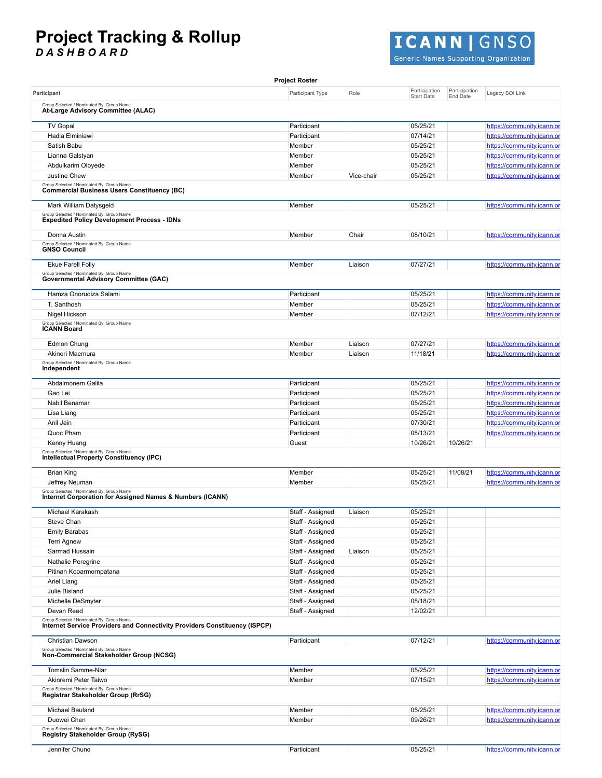# **Project Tracking & Rollup**

*D A S H B O A R D*



Generic Names Supporting Organization

|                                                                                                                          | <b>Project Roster</b> |            |                                    |                           |                            |
|--------------------------------------------------------------------------------------------------------------------------|-----------------------|------------|------------------------------------|---------------------------|----------------------------|
| Participant                                                                                                              | Participant Type      | Role       | Participation<br><b>Start Date</b> | Participation<br>End Date | Legacy SOI Link            |
| Group Selected / Nominated By: Group Name<br>At-Large Advisory Committee (ALAC)                                          |                       |            |                                    |                           |                            |
| <b>TV Gopal</b>                                                                                                          | Participant           |            | 05/25/21                           |                           | https://community.icann.or |
| Hadia Elminiawi                                                                                                          | Participant           |            | 07/14/21                           |                           | https://community.icann.or |
| Satish Babu                                                                                                              | Member                |            | 05/25/21                           |                           | https://community.icann.or |
|                                                                                                                          |                       |            |                                    |                           |                            |
| Lianna Galstyan                                                                                                          | Member                |            | 05/25/21                           |                           | https://community.icann.or |
| Abdulkarim Oloyede                                                                                                       | Member                |            | 05/25/21                           |                           | https://community.icann.or |
| Justine Chew                                                                                                             | Member                | Vice-chair | 05/25/21                           |                           | https://community.icann.or |
| Group Selected / Nominated By: Group Name<br><b>Commercial Business Users Constituency (BC)</b>                          |                       |            |                                    |                           |                            |
| Mark William Datysgeld                                                                                                   | Member                |            | 05/25/21                           |                           | https://community.icann.or |
| Group Selected / Nominated By: Group Name<br><b>Expedited Policy Development Process - IDNs</b>                          |                       |            |                                    |                           |                            |
| Donna Austin                                                                                                             | Member                | Chair      | 08/10/21                           |                           | https://community.icann.or |
| Group Selected / Nominated By: Group Name<br><b>GNSO Council</b>                                                         |                       |            |                                    |                           |                            |
| <b>Ekue Farell Folly</b>                                                                                                 | Member                | Liaison    | 07/27/21                           |                           | https://community.icann.or |
| Group Selected / Nominated By: Group Name<br><b>Governmental Advisory Committee (GAC)</b>                                |                       |            |                                    |                           |                            |
| Hamza Onoruoiza Salami                                                                                                   | Participant           |            | 05/25/21                           |                           | https://community.icann.or |
| T. Santhosh                                                                                                              | Member                |            | 05/25/21                           |                           | https://community.icann.or |
| Nigel Hickson                                                                                                            | Member                |            | 07/12/21                           |                           | https://community.icann.or |
| Group Selected / Nominated By: Group Name                                                                                |                       |            |                                    |                           |                            |
| <b>ICANN Board</b>                                                                                                       |                       |            |                                    |                           |                            |
| Edmon Chung                                                                                                              | Member                | Liaison    | 07/27/21                           |                           | https://community.icann.or |
| Akinori Maemura                                                                                                          | Member                | Liaison    | 11/18/21                           |                           | https://community.icann.or |
| Group Selected / Nominated By: Group Name<br>Independent                                                                 |                       |            |                                    |                           |                            |
| Abdalmonem Galila                                                                                                        | Participant           |            | 05/25/21                           |                           | https://community.icann.or |
| Gao Lei                                                                                                                  | Participant           |            | 05/25/21                           |                           | https://community.icann.or |
| Nabil Benamar                                                                                                            | Participant           |            | 05/25/21                           |                           | https://community.icann.or |
| Lisa Liang                                                                                                               | Participant           |            | 05/25/21                           |                           | https://community.icann.or |
| Anil Jain                                                                                                                | Participant           |            | 07/30/21                           |                           | https://community.icann.or |
| Quoc Pham                                                                                                                | Participant           |            | 08/13/21                           |                           | https://community.icann.or |
| Kenny Huang                                                                                                              | Guest                 |            | 10/26/21                           | 10/26/21                  |                            |
| Group Selected / Nominated By: Group Name<br>Intellectual Property Constituency (IPC)                                    |                       |            |                                    |                           |                            |
| <b>Brian King</b>                                                                                                        | Member                |            | 05/25/21                           | 11/08/21                  | https://community.icann.or |
|                                                                                                                          |                       |            |                                    |                           |                            |
| Jeffrey Neuman<br>Group Selected / Nominated By: Group Name<br>Internet Corporation for Assigned Names & Numbers (ICANN) | Member                |            | 05/25/21                           |                           | https://community.icann.or |
| Michael Karakash                                                                                                         | Staff - Assigned      | Liaison    | 05/25/21                           |                           |                            |
| Steve Chan                                                                                                               | Staff - Assigned      |            | 05/25/21                           |                           |                            |
| <b>Emily Barabas</b>                                                                                                     | Staff - Assigned      |            | 05/25/21                           |                           |                            |
| <b>Terri Agnew</b>                                                                                                       | Staff - Assigned      |            | 05/25/21                           |                           |                            |
| Sarmad Hussain                                                                                                           | Staff - Assigned      | Liaison    | 05/25/21                           |                           |                            |
|                                                                                                                          |                       |            | 05/25/21                           |                           |                            |
| Nathalie Peregrine                                                                                                       | Staff - Assigned      |            |                                    |                           |                            |
| Pitinan Kooarmornpatana                                                                                                  | Staff - Assigned      |            | 05/25/21                           |                           |                            |
| Ariel Liang                                                                                                              | Staff - Assigned      |            | 05/25/21                           |                           |                            |
| Julie Bisland                                                                                                            | Staff - Assigned      |            | 05/25/21                           |                           |                            |
| Michelle DeSmyter                                                                                                        | Staff - Assigned      |            | 08/18/21                           |                           |                            |
| Devan Reed                                                                                                               | Staff - Assigned      |            | 12/02/21                           |                           |                            |
| Group Selected / Nominated By: Group Name<br>Internet Service Providers and Connectivity Providers Constituency (ISPCP)  |                       |            |                                    |                           |                            |
| Christian Dawson                                                                                                         | Participant           |            | 07/12/21                           |                           | https://community.icann.or |
| Group Selected / Nominated By: Group Name<br>Non-Commercial Stakeholder Group (NCSG)                                     |                       |            |                                    |                           |                            |
| Tomslin Samme-Nlar                                                                                                       | Member                |            | 05/25/21                           |                           | https://community.icann.or |
| Akinremi Peter Taiwo                                                                                                     | Member                |            | 07/15/21                           |                           | https://community.icann.or |
| Group Selected / Nominated By: Group Name<br>Registrar Stakeholder Group (RrSG)                                          |                       |            |                                    |                           |                            |
| Michael Bauland                                                                                                          | Member                |            | 05/25/21                           |                           | https://community.icann.or |
| Duowei Chen                                                                                                              | Member                |            | 09/26/21                           |                           | https://community.icann.or |
| Group Selected / Nominated By: Group Name                                                                                |                       |            |                                    |                           |                            |
| <b>Registry Stakeholder Group (RySG)</b>                                                                                 |                       |            |                                    |                           |                            |
| Jennifer Chung                                                                                                           | Participant           |            | 05/25/21                           |                           | https://communitv.icann.or |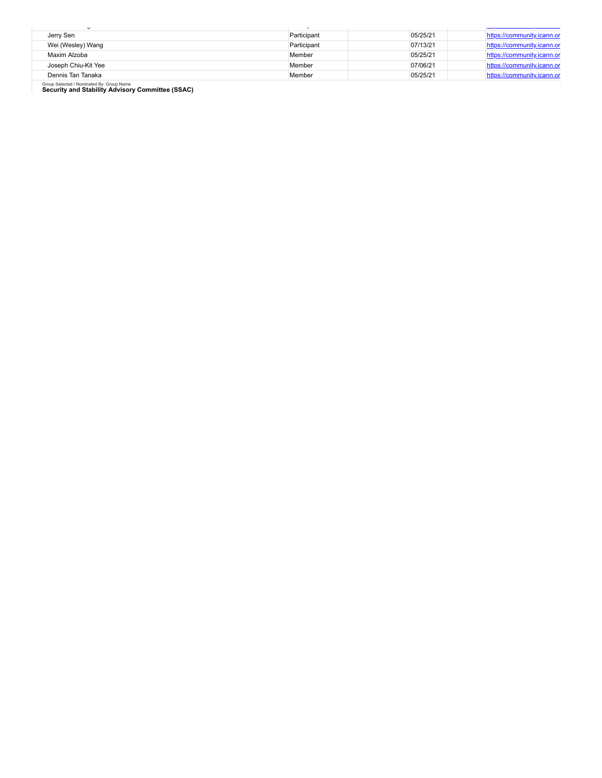|                     | $\sim \sim \sim \sim \sim \sim \sim$ | $- - - - - - -$ | <u>The present executives in present in the</u> |
|---------------------|--------------------------------------|-----------------|-------------------------------------------------|
| Jerry Sen           | Participant                          | 05/25/21        | https://community.icann.or                      |
| Wei (Wesley) Wang   | Participant                          | 07/13/21        | https://community.icann.or                      |
| Maxim Alzoba        | Member                               | 05/25/21        | https://community.icann.or                      |
| Joseph Chiu-Kit Yee | Member                               | 07/06/21        | https://community.icann.or                      |
| Dennis Tan Tanaka   | Member                               | 05/25/21        | https://community.icann.or                      |
|                     |                                      |                 |                                                 |

Group Selected / Nominated By: Group Name **Security and Stability Advisory Committee (SSAC)**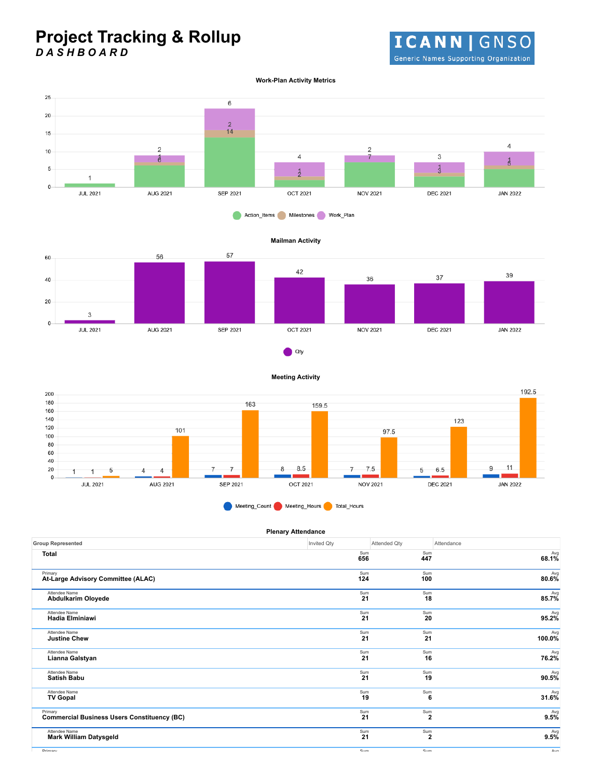### **Project Tracking & Rollup** *D A S H B O A R D*

**ICANN | GNSO** Generic Names Supporting Organization

#### **Work-Plan Activity Metrics**



#### Action\_Items Milestones Work\_Plan

#### **Mailman Activity**



**Meeting Activity**





| <b>Plenary Attendance</b>                          |             |                |            |
|----------------------------------------------------|-------------|----------------|------------|
| <b>Group Represented</b>                           | Invited Qty | Attended Qty   | Attendance |
| <b>Total</b>                                       | Sum<br>656  | Sum<br>447     | $68.1\%$   |
| Primary                                            | Sum         | Sum            | Avg        |
| At-Large Advisory Committee (ALAC)                 | 124         | 100            | $80.6\%$   |
| Attendee Name                                      | Sum         | Sum            | Avg        |
| Abdulkarim Oloyede                                 | 21          | 18             | 85.7%      |
| Attendee Name                                      | Sum         | Sum            | Avg        |
| <b>Hadia Elminiawi</b>                             | 21          | 20             | 95.2%      |
| Attendee Name                                      | Sum         | Sum            | $100.0\%$  |
| <b>Justine Chew</b>                                | 21          | 21             |            |
| Attendee Name                                      | Sum         | Sum            | Avg        |
| Lianna Galstyan                                    | 21          | 16             | 76.2%      |
| Attendee Name                                      | Sum         | Sum            | $90.5\%$   |
| <b>Satish Babu</b>                                 | 21          | 19             |            |
| Attendee Name                                      | Sum         | Sum            | Avg        |
| <b>TV Gopal</b>                                    | 19          | 6              | 31.6%      |
| Primary                                            | Sum         | Sum            | Avg        |
| <b>Commercial Business Users Constituency (BC)</b> | 21          | $\overline{2}$ | 9.5%       |
| Attendee Name                                      | Sum         | Sum            | Avg        |
| <b>Mark William Datysgeld</b>                      | 21          | $\overline{2}$ | 9.5%       |

Primary Sum Sum Avg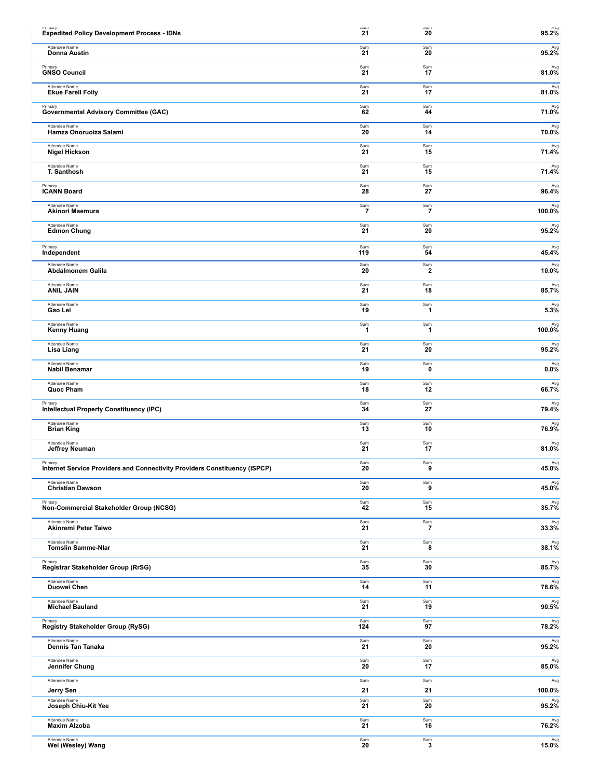| miniary                                                                    | oum                    | oum                    | 95.2%                                   |
|----------------------------------------------------------------------------|------------------------|------------------------|-----------------------------------------|
| <b>Expedited Policy Development Process - IDNs</b>                         | 21                     | 20                     |                                         |
| Attendee Name                                                              | Sum                    | Sum                    | Avg                                     |
| Donna Austin                                                               | 21                     | 20                     | 95.2%                                   |
| Primary                                                                    | Sum                    | Sum                    | Avg                                     |
| <b>GNSO Council</b>                                                        | 21                     | 17                     | 81.0%                                   |
| Attendee Name                                                              | Sum                    | Sum                    | Avg                                     |
| <b>Ekue Farell Folly</b>                                                   | 21                     | 17                     | 81.0%                                   |
| Primary                                                                    | Sum                    | Sum                    | Avg                                     |
| <b>Governmental Advisory Committee (GAC)</b>                               | 62                     | 44                     | 71.0%                                   |
| Attendee Name                                                              | Sum                    | Sum                    | Avg                                     |
| Hamza Onoruoiza Salami                                                     | 20                     | 14                     | 70.0%                                   |
| Attendee Name                                                              | Sum                    | Sum                    | Avg                                     |
| <b>Nigel Hickson</b>                                                       | 21                     | 15                     | 71.4%                                   |
| Attendee Name                                                              | Sum                    | Sum                    | Avg                                     |
| T. Santhosh                                                                | 21                     | 15                     | 71.4%                                   |
| Primary                                                                    | Sum                    | Sum                    | Avg                                     |
| <b>ICANN Board</b>                                                         | 28                     | 27                     | 96.4%                                   |
| Attendee Name<br>Akinori Maemura                                           | $\frac{\text{Sum}}{7}$ | $\frac{\text{Sum}}{7}$ | Avg<br>100.0%                           |
| Attendee Name                                                              | Sum                    | Sum                    | Avg                                     |
| <b>Edmon Chung</b>                                                         | 21                     | 20                     | 95.2%                                   |
| Primary                                                                    | Sum                    | Sum                    | Avg                                     |
| Independent                                                                | 119                    | 54                     | 45.4%                                   |
| Attendee Name                                                              | Sum                    | Sum                    | Avg                                     |
| Abdalmonem Galila                                                          | 20                     | $\mathbf{2}$           | 10.0%                                   |
| Attendee Name                                                              | Sum                    | Sum                    | Avg                                     |
| <b>ANIL JAIN</b>                                                           | 21                     | 18                     | 85.7%                                   |
| Attendee Name                                                              | Sum                    | Sum                    | $5.3\%$                                 |
| Gao Lei                                                                    | 19                     | 1                      |                                         |
| Attendee Name                                                              | Sum                    | Sum                    | Avg                                     |
| Kenny Huang                                                                | $\mathbf{1}$           | 1                      | 100.0%                                  |
| Attendee Name                                                              | Sum                    | Sum                    | Avg                                     |
| Lisa Liang                                                                 | 21                     | 20                     | 95.2%                                   |
| Attendee Name                                                              | Sum                    | Sum                    | Avg                                     |
| Nabil Benamar                                                              | 19                     | 0                      | 0.0%                                    |
| Attendee Name                                                              | Sum                    | Sum                    | Avg                                     |
| Quoc Pham                                                                  | 18                     | 12                     | 66.7%                                   |
| Primary                                                                    | Sum                    | Sum                    | Avg                                     |
| <b>Intellectual Property Constituency (IPC)</b>                            | 34                     | 27                     | 79.4%                                   |
| Attendee Name                                                              | Sum                    | Sum                    | Avg                                     |
| <b>Brian King</b>                                                          | 13                     | 10                     | 76.9%                                   |
| Attendee Name                                                              | Sum                    | Sum                    | Avg                                     |
| Jeffrey Neuman                                                             | 21                     | 17                     | 81.0%                                   |
| Primary                                                                    | Sum                    | Sum                    | Avg                                     |
| Internet Service Providers and Connectivity Providers Constituency (ISPCP) | 20                     | 9                      | 45.0%                                   |
| Attendee Name                                                              | Sum                    | Sum                    | Avg                                     |
| <b>Christian Dawson</b>                                                    | 20                     | 9                      | 45.0%                                   |
| Primary                                                                    | Sum                    | Sum                    | Avg                                     |
| Non-Commercial Stakeholder Group (NCSG)                                    | 42                     | 15                     | 35.7%                                   |
| Attendee Name                                                              | Sum                    | Sum                    | $\boldsymbol{33.3\%}^{\mathrm{Avg}}$    |
| Akinremi Peter Taiwo                                                       | 21                     | 7                      |                                         |
| Attendee Name                                                              | Sum                    | Sum                    | Avg                                     |
| <b>Tomslin Samme-Nlar</b>                                                  | 21                     | 8                      | 38.1%                                   |
| Primary                                                                    | Sum                    | Sum                    | Avg                                     |
| Registrar Stakeholder Group (RrSG)                                         | 35                     | 30                     | 85.7%                                   |
| Attendee Name                                                              | Sum                    | Sum                    | $78.6\%$                                |
| Duowei Chen                                                                | 14                     | 11                     |                                         |
| Attendee Name                                                              | Sum                    | Sum                    | Avg                                     |
| <b>Michael Bauland</b>                                                     | 21                     | 19                     | $90.5\%$                                |
| Primary                                                                    | Sum                    | Sum                    | $78.2\%$                                |
| <b>Registry Stakeholder Group (RySG)</b>                                   | 124                    | 97                     |                                         |
| Attendee Name                                                              | Sum                    | Sum                    | Avg                                     |
| Dennis Tan Tanaka                                                          | 21                     | 20                     | 95.2%                                   |
| Attendee Name                                                              | Sum                    | Sum                    | $\overset{\text{Avg}}{\textbf{85.0\%}}$ |
| Jennifer Chung                                                             | 20                     | 17                     |                                         |
| Attendee Name                                                              | Sum                    | Sum                    | Avg                                     |
| Jerry Sen                                                                  | 21                     | 21                     | 100.0%                                  |
| Attendee Name                                                              | Sum                    | Sum                    | Avg                                     |
| Joseph Chiu-Kit Yee                                                        | 21                     | 20                     | 95.2%                                   |
| Attendee Name                                                              | Sum                    | Sum                    | Avg                                     |
| <b>Maxim Alzoba</b>                                                        | 21                     | 16                     | 76.2%                                   |
| Attendee Name                                                              | Sum                    | Sum                    | Avg                                     |
| Wei (Wesley) Wang                                                          | 20                     | 3                      | $15.0\%$                                |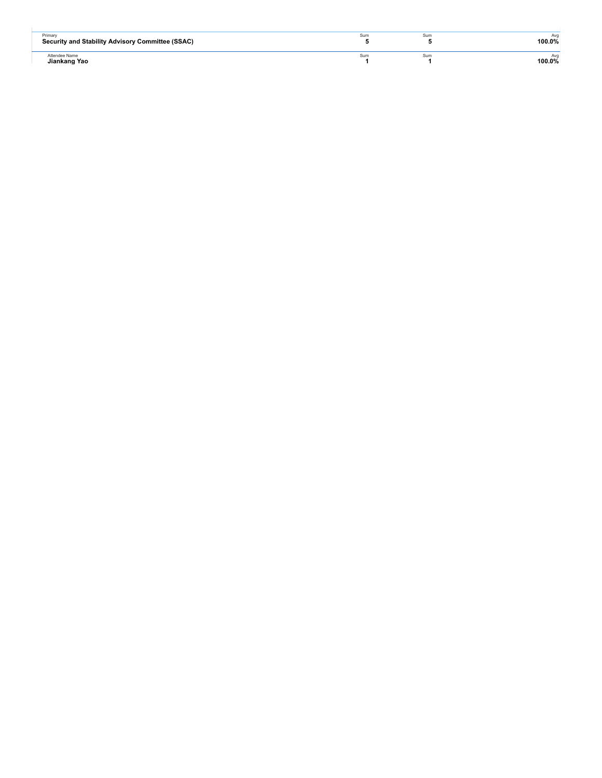| Primary<br>Security and Stability Advisory Committee (SSAC) | Sum | sun | Avo<br>100.0% |
|-------------------------------------------------------------|-----|-----|---------------|
| Attendee Name<br>Jiankang Yao                               | Sum | sun | Avo<br>100.0% |